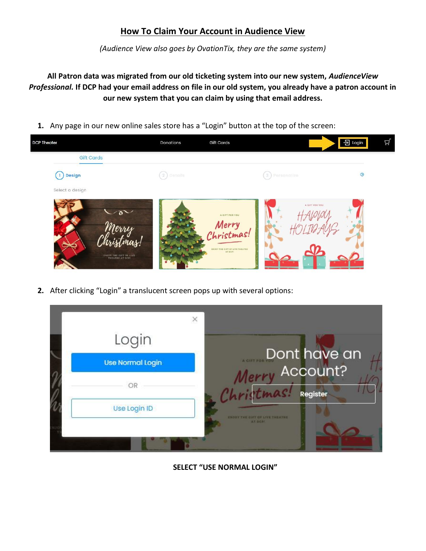## **How To Claim Your Account in Audience View**

*(Audience View also goes by OvationTix, they are the same system)*

**All Patron data was migrated from our old ticketing system into our new system,** *AudienceView Professional.* **If DCP had your email address on file in our old system, you already have a patron account in our new system that you can claim by using that email address.**

**1.** Any page in our new online sales store has a "Login" button at the top of the screen:



**2.** After clicking "Login" a translucent screen pops up with several options:

| Login                   |                                       |
|-------------------------|---------------------------------------|
| <b>Use Normal Login</b> | Dont have an<br>Merry Account?        |
|                         | Christmas!<br>Register                |
| Use Login ID            | <b>CHIOF THE CIFT OF LIVE THEATHE</b> |

**SELECT "USE NORMAL LOGIN"**